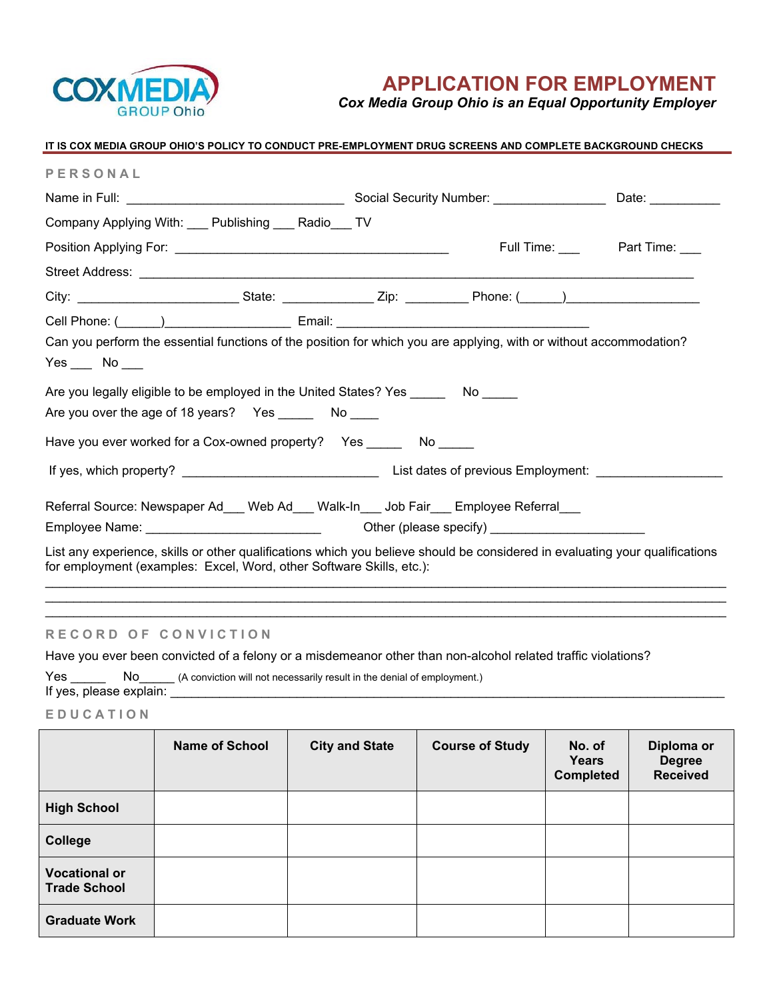

# **APPLICATION FOR EMPLOYMENT**

*Cox Media Group Ohio is an Equal Opportunity Employer* 

| IT IS COX MEDIA GROUP OHIO'S POLICY TO CONDUCT PRE-EMPLOYMENT DRUG SCREENS AND COMPLETE BACKGROUND CHECKS                                                                                                                                                                                                                                                              |  |                       |                       |  |
|------------------------------------------------------------------------------------------------------------------------------------------------------------------------------------------------------------------------------------------------------------------------------------------------------------------------------------------------------------------------|--|-----------------------|-----------------------|--|
| PERSONAL                                                                                                                                                                                                                                                                                                                                                               |  |                       |                       |  |
|                                                                                                                                                                                                                                                                                                                                                                        |  |                       | Date: $\qquad \qquad$ |  |
| Company Applying With: ___ Publishing ___ Radio___ TV                                                                                                                                                                                                                                                                                                                  |  |                       |                       |  |
|                                                                                                                                                                                                                                                                                                                                                                        |  | Full Time: Part Time: |                       |  |
|                                                                                                                                                                                                                                                                                                                                                                        |  |                       |                       |  |
|                                                                                                                                                                                                                                                                                                                                                                        |  |                       |                       |  |
| Cell Phone: (Call Company Cell Phone: Company Cell Phone: (Call Company Cell Phone: Company Cell Company Cell Company Cell Company Cell Company Cell Company Cell Company Cell Company Cell Company Cell Company Cell Company<br>Can you perform the essential functions of the position for which you are applying, with or without accommodation?<br>$Yes$ No $\_\_$ |  |                       |                       |  |
| Are you legally eligible to be employed in the United States? Yes ________ No<br>Are you over the age of 18 years? Yes ________ No _____                                                                                                                                                                                                                               |  |                       |                       |  |
|                                                                                                                                                                                                                                                                                                                                                                        |  |                       |                       |  |
|                                                                                                                                                                                                                                                                                                                                                                        |  |                       |                       |  |
| Referral Source: Newspaper Ad___ Web Ad___ Walk-In___ Job Fair___ Employee Referral___<br>List any experience, skills or other qualifications which you believe should be considered in evaluating your qualifications<br>for employment (examples: Excel, Word, other Software Skills, etc.):                                                                         |  |                       |                       |  |
|                                                                                                                                                                                                                                                                                                                                                                        |  |                       |                       |  |

# **RECORD OF CONVICTION**

Have you ever been convicted of a felony or a misdemeanor other than non-alcohol related traffic violations?

Yes \_\_\_\_\_\_\_\_\_\_\_ No\_\_\_\_\_\_\_\_ (A conviction will not necessarily result in the denial of employment.) If yes, please explain:

## **E D U C A T I O N**

|                                             | <b>Name of School</b> | <b>City and State</b> | <b>Course of Study</b> | No. of<br>Years<br><b>Completed</b> | Diploma or<br><b>Degree</b><br><b>Received</b> |
|---------------------------------------------|-----------------------|-----------------------|------------------------|-------------------------------------|------------------------------------------------|
| <b>High School</b>                          |                       |                       |                        |                                     |                                                |
| College                                     |                       |                       |                        |                                     |                                                |
| <b>Vocational or</b><br><b>Trade School</b> |                       |                       |                        |                                     |                                                |
| <b>Graduate Work</b>                        |                       |                       |                        |                                     |                                                |

 $\mathcal{L}_\text{max} = \mathcal{L}_\text{max} = \mathcal{L}_\text{max} = \mathcal{L}_\text{max} = \mathcal{L}_\text{max} = \mathcal{L}_\text{max} = \mathcal{L}_\text{max} = \mathcal{L}_\text{max} = \mathcal{L}_\text{max} = \mathcal{L}_\text{max} = \mathcal{L}_\text{max} = \mathcal{L}_\text{max} = \mathcal{L}_\text{max} = \mathcal{L}_\text{max} = \mathcal{L}_\text{max} = \mathcal{L}_\text{max} = \mathcal{L}_\text{max} = \mathcal{L}_\text{max} = \mathcal{$  $\mathcal{L}_\mathcal{L} = \{ \mathcal{L}_\mathcal{L} = \{ \mathcal{L}_\mathcal{L} = \{ \mathcal{L}_\mathcal{L} = \{ \mathcal{L}_\mathcal{L} = \{ \mathcal{L}_\mathcal{L} = \{ \mathcal{L}_\mathcal{L} = \{ \mathcal{L}_\mathcal{L} = \{ \mathcal{L}_\mathcal{L} = \{ \mathcal{L}_\mathcal{L} = \{ \mathcal{L}_\mathcal{L} = \{ \mathcal{L}_\mathcal{L} = \{ \mathcal{L}_\mathcal{L} = \{ \mathcal{L}_\mathcal{L} = \{ \mathcal{L}_\mathcal{$